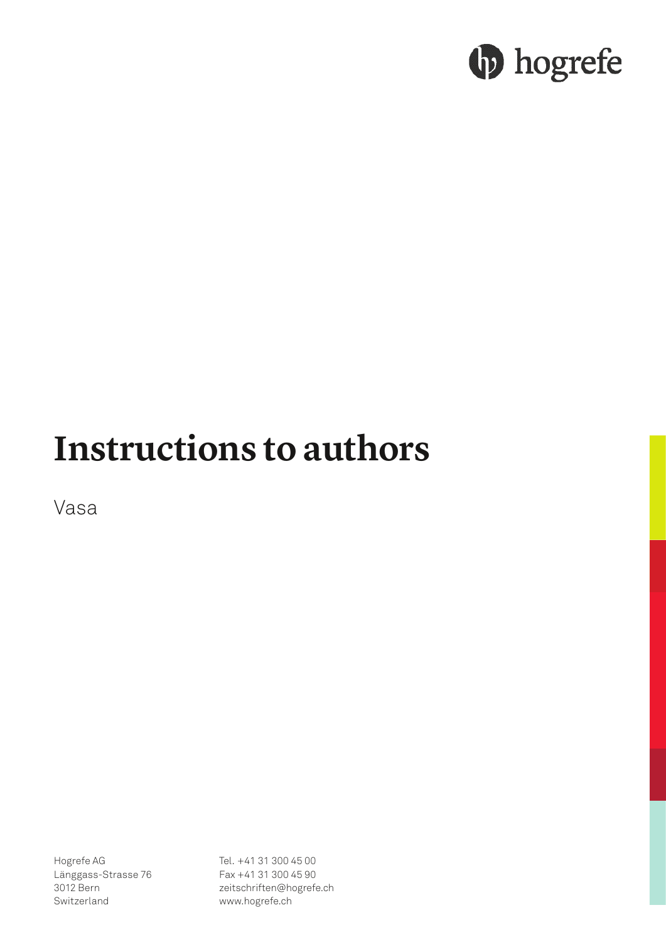# **b** hogrefe

## **Instructions to authors**

Vasa

Hogrefe AG Länggass-Strasse 76 3012 Bern Switzerland

Tel. +41 31 300 45 00 Fax +41 31 300 45 90 zeitschriften@hogrefe.ch www.hogrefe.ch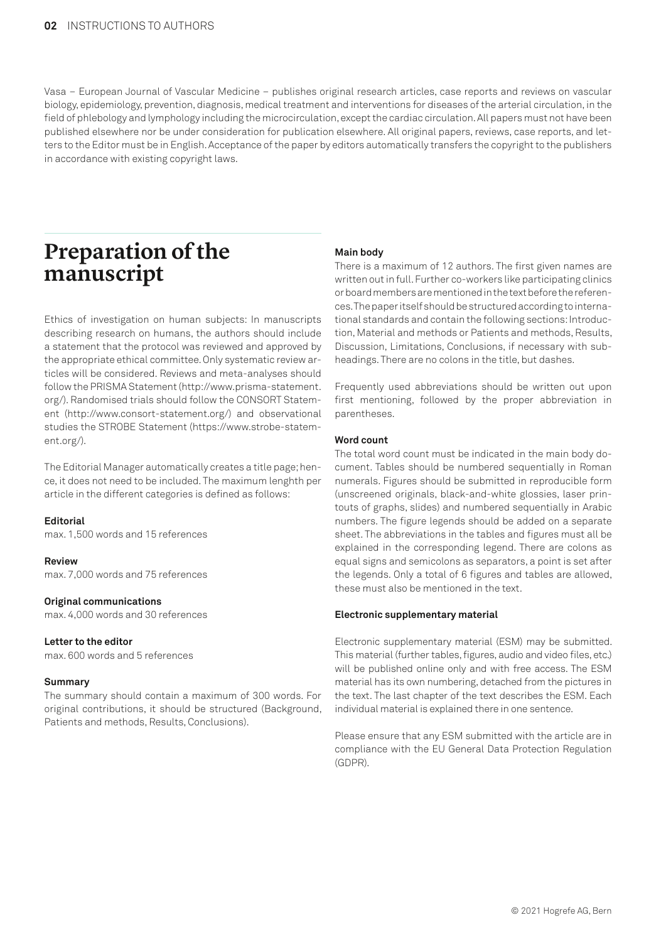Vasa – European Journal of Vascular Medicine – publishes original research articles, case reports and reviews on vascular biology, epidemiology, prevention, diagnosis, medical treatment and interventions for diseases of the arterial circulation, in the field of phlebology and lymphology including the microcirculation, except the cardiac circulation. All papers must not have been published elsewhere nor be under consideration for publication elsewhere. All original papers, reviews, case reports, and letters to the Editor must be in English. Acceptance of the paper by editors automatically transfers the copyright to the publishers in accordance with existing copyright laws.

### **Preparation of the manuscript**

Ethics of investigation on human subjects: In manuscripts describing research on humans, the authors should include a statement that the protocol was reviewed and approved by the appropriate ethical committee. Only systematic review articles will be considered. Reviews and meta-analyses should follow the PRISMA Statement (http://www.prisma-statement. org/). Randomised trials should follow the CONSORT Statement (http://www.consort-statement.org/) and observational studies the STROBE Statement (https://www.strobe-statement.org/).

The Editorial Manager automatically creates a title page; hence, it does not need to be included. The maximum lenghth per article in the different categories is defined as follows:

#### **Editorial**

max. 1,500 words and 15 references

#### **Review**

max. 7,000 words and 75 references

#### **Original communications**

max. 4,000 words and 30 references

#### **Letter to the editor**

max. 600 words and 5 references

#### **Summary**

The summary should contain a maximum of 300 words. For original contributions, it should be structured (Background, Patients and methods, Results, Conclusions).

#### **Main body**

There is a maximum of 12 authors. The first given names are written out in full. Further co-workers like participating clinics or board members are mentioned in the text before the references. The paper itself should be structured according to international standards and contain the following sections: Introduction, Material and methods or Patients and methods, Results, Discussion, Limitations, Conclusions, if necessary with subheadings. There are no colons in the title, but dashes.

Frequently used abbreviations should be written out upon first mentioning, followed by the proper abbreviation in parentheses.

#### **Word count**

The total word count must be indicated in the main body document. Tables should be numbered sequentially in Roman numerals. Figures should be submitted in reproducible form (unscreened originals, black-and-white glossies, laser printouts of graphs, slides) and numbered sequentially in Arabic numbers. The figure legends should be added on a separate sheet. The abbreviations in the tables and figures must all be explained in the corresponding legend. There are colons as equal signs and semicolons as separators, a point is set after the legends. Only a total of 6 figures and tables are allowed, these must also be mentioned in the text.

#### **Electronic supplementary material**

Electronic supplementary material (ESM) may be submitted. This material (further tables, figures, audio and video files, etc.) will be published online only and with free access. The ESM material has its own numbering, detached from the pictures in the text. The last chapter of the text describes the ESM. Each individual material is explained there in one sentence.

Please ensure that any ESM submitted with the article are in compliance with the EU General Data Protection Regulation (GDPR).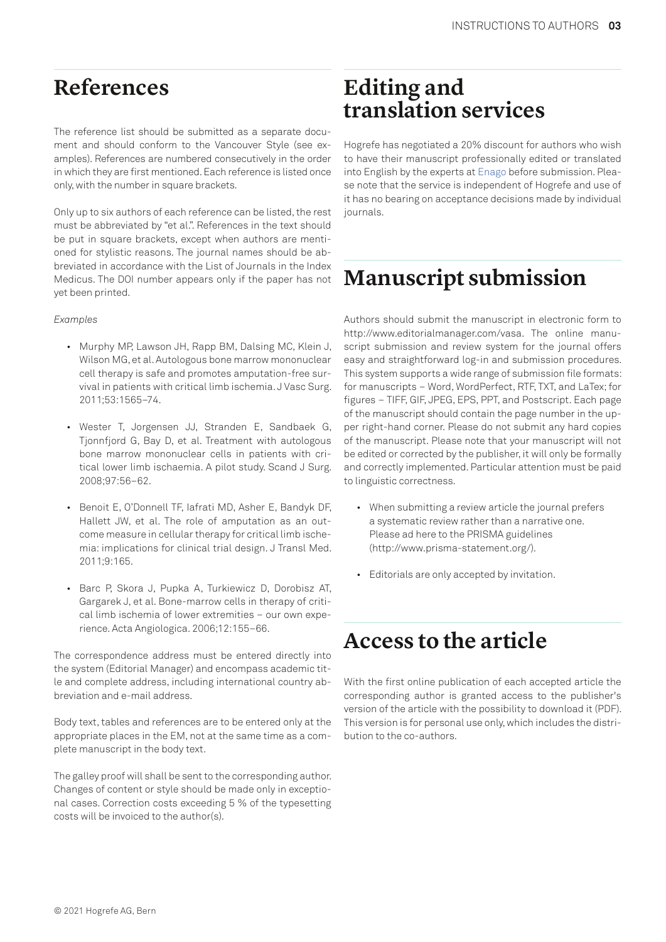### **References**

The reference list should be submitted as a separate document and should conform to the Vancouver Style (see examples). References are numbered consecutively in the order in which they are first mentioned. Each reference is listed once only, with the number in square brackets.

Only up to six authors of each reference can be listed, the rest must be abbreviated by "et al.". References in the text should be put in square brackets, except when authors are mentioned for stylistic reasons. The journal names should be abbreviated in accordance with the List of Journals in the Index Medicus. The DOI number appears only if the paper has not yet been printed.

#### *Examples*

- Murphy MP, Lawson JH, Rapp BM, Dalsing MC, Klein J, Wilson MG, et al. Autologous bone marrow mononuclear cell therapy is safe and promotes amputation-free survival in patients with critical limb ischemia. J Vasc Surg. 2011;53:1565–74.
- Wester T, Jorgensen JJ, Stranden E, Sandbaek G, Tjonnfjord G, Bay D, et al. Treatment with autologous bone marrow mononuclear cells in patients with critical lower limb ischaemia. A pilot study. Scand J Surg. 2008;97:56–62.
- Benoit E, O'Donnell TF, Iafrati MD, Asher E, Bandyk DF, Hallett JW, et al. The role of amputation as an outcome measure in cellular therapy for critical limb ischemia: implications for clinical trial design. J Transl Med. 2011;9:165.
- Barc P, Skora J, Pupka A, Turkiewicz D, Dorobisz AT, Gargarek J, et al. Bone-marrow cells in therapy of critical limb ischemia of lower extremities – our own experience. Acta Angiologica. 2006;12:155–66.

The correspondence address must be entered directly into the system (Editorial Manager) and encompass academic title and complete address, including international country abbreviation and e-mail address.

Body text, tables and references are to be entered only at the appropriate places in the EM, not at the same time as a complete manuscript in the body text.

The galley proof will shall be sent to the corresponding author. Changes of content or style should be made only in exceptional cases. Correction costs exceeding 5 % of the typesetting costs will be invoiced to the author(s).

### **Editing and translation services**

Hogrefe has negotiated a 20% discount for authors who wish to have their manuscript professionally edited or translated into English by the experts at Enago before submission. Please note that the service is independent of Hogrefe and use of it has no bearing on acceptance decisions made by individual journals.

### **Manuscript submission**

Authors should submit the manuscript in electronic form to http://www.editorialmanager.com/vasa. The online manuscript submission and review system for the journal offers easy and straightforward log-in and submission procedures. This system supports a wide range of submission file formats: for manuscripts – Word, WordPerfect, RTF, TXT, and LaTex; for figures – TIFF, GIF, JPEG, EPS, PPT, and Postscript. Each page of the manuscript should contain the page number in the upper right-hand corner. Please do not submit any hard copies of the manuscript. Please note that your manuscript will not be edited or corrected by the publisher, it will only be formally and correctly implemented. Particular attention must be paid to linguistic correctness.

- When submitting a review article the journal prefers a systematic review rather than a narrative one. Please ad here to the PRISMA guidelines (http://www.prisma-statement.org/).
- Editorials are only accepted by invitation.

### **Access to the article**

With the first online publication of each accepted article the corresponding author is granted access to the publisher's version of the article with the possibility to download it (PDF). This version is for personal use only, which includes the distribution to the co-authors.